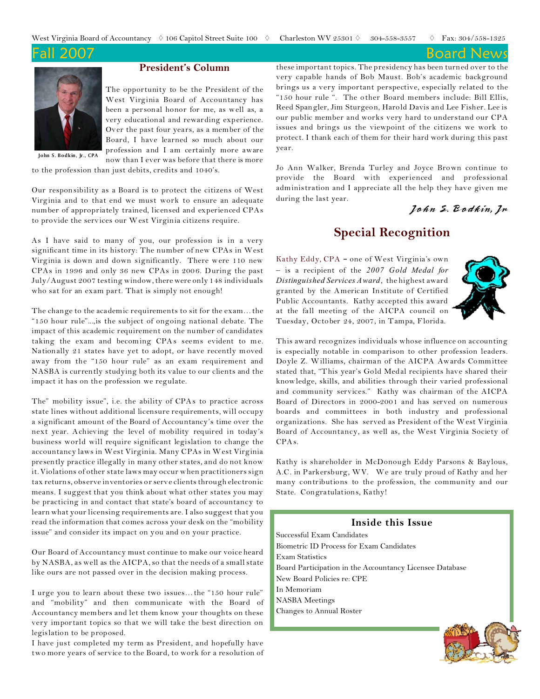**Board News** 



### **President's Column**

The opportunity to be the President of the West Virginia Board of Accountancy has been a personal honor for me, as well as, a very educational and rewarding experience. Over the past four years, as a member of the Board, I have learned so much about our profession and I am certainly more aware now than I ever was before that there is more

**John S. Bodkin, Jr., CPA**

to the profession than just debits, credits and 1040's.

Our responsibility as a Board is to protect the citizens of West Virginia and to that end we must work to ensure an adequate number of appropriately trained, licensed and experienced CPAs to provide the services our West Virginia citizens require.

As I have said to many of you, our profession is in a very significant time in its history: The number of new CPAs in West Virginia is down and down significantly. There were 110 new CPAs in 1996 and only 36 new CPAs in 200 6. During the past July/August 2007 testing window,there were only 148 individuals who sat for an exam part. That is simply not enough!

The change to the academic requirements to sit for the exam…the "150 hour rule"...,is the subject of ongoing national debate. The impact of this academic requirement on the number of candidates taking the exam and becoming CPAs seems evident to me. Nationally 21 states have yet to adopt, or have recently moved away from the "150 hour rule" as an exam requirement and NASBA is currently studying both its value to our clients and the impact it has on the profession we regulate.

The" mobility issue", i.e. the ability of CPAs to practice across state lines without additional licensure requirements, will occupy a significant amount of the Board of Accountancy's time over the next year. Achieving the level of mobility required in today's business world will require significant legislation to change the accountancy laws in West Virginia. Many CPAs in West Virginia presently practice illegally in many other states, and do not know it. Violations of other state laws may occur when practitioners sign tax returns, observe inventories or serve clients through electronic means. I suggest that you think about what other states you may be practicing in and contact that state's board of accountancy to learn what your licensing requirements are. I also suggest that you read the information that comes across your desk on the "mobility issue" and consider its impact on you and on your practice.

Our Board of Accountancy must continue to make our voice heard by NASBA, as well as the AICPA, so that the needs of a small state like ours are not passed over in the decision making process.

I urge you to learn about these two issues…the "150 hour rule" and "mobility" and then communicate with the Board of Accountancy members and let them know your thoughts on these very important topics so that we will take the best direction on legislation to be proposed.

I have just completed my term as President, and hopefully have two more years of service to the Board, to work for a resolution of these important topics. The presidency has been turned over to the very capable hands of Bob Maust. Bob's academic background brings us a very important perspective, especially related to the "150 hour rule ". The other Board members include: Bill Ellis, Reed Spangler, Jim Sturgeon, Harold Davis and Lee Fisher. Lee is our public member and works very hard to understand our CPA issues and brings us the viewpoint of the citizens we work to protect. I thank each of them for their hard work during this past year.

Jo Ann Walker, Brenda Turley and Joyce Brown continue to provide the Board with experienced and professional administration and I appreciate all the help they have given me during the last year.

### John S. Bodkin, Jr

### **Special Recognition**

Kathy Eddy, CPA - one of West Virginia's own – is a recipient of the *2007 Gold Medal for Distinguished Services Award*, the highest award granted by the American Institute of Certified Public Accountants. Kathy accepted this award at the fall meeting of the AICPA council on Tuesday, October 24, 2007, in Tampa, Florida.



This award recognizes individuals whose influence on accounting is especially notable in comparison to other profession leaders. Doyle Z. Williams, chairman of the AICPA Awards Committee stated that, "This year's Gold Medal recipients have shared their knowledge, skills, and abilities through their varied professional and community services." Kathy was chairman of the AICPA Board of Directors in 2000-2001 and has served on numerous boards and committees in both industry and professional organizations. She has served as President of the West Virginia Board of Accountancy, as well as, the West Virginia Society of CPAs.

Kathy is shareholder in McDonough Eddy Parsons & Baylous, A.C. in Parkersburg, WV. We are truly proud of Kathy and her many contributions to the profession, the community and our State. Congratulations, Kathy!

# **Inside this Issue**

Successful Exam Candidates Biometric ID Process for Exam Candidates Exam Statistics Board Participation in the Accountancy Licensee Database New Board Policies re: CPE In Memoriam NASBA Meetings Changes to Annual Roster

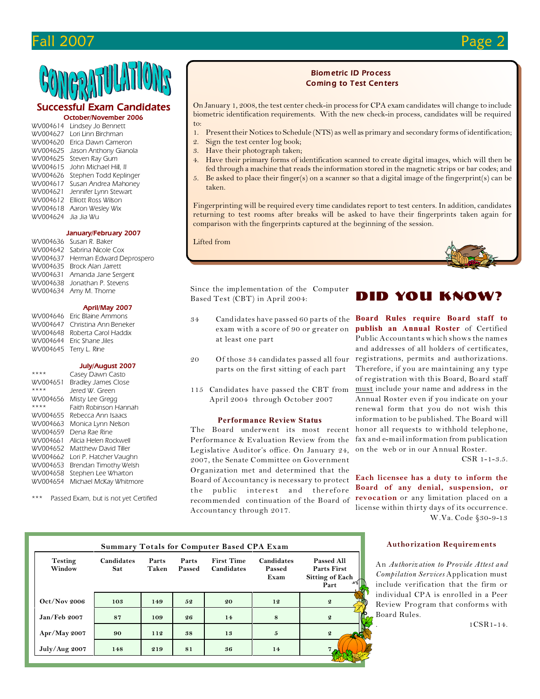# Fall 2007 Page 2

## *Successful Exam Candidates*

### *October/November 2006*

| WV004614 | Lindsey Jo Bennett     |
|----------|------------------------|
| WV004627 | Lori Linn Birchman     |
| WV004620 | Erica Dawn Cameron     |
| WV004625 | Jason Anthony Gianola  |
| WV004625 | Steven Ray Gum         |
| WV004615 | John Michael Hill, II  |
| WV004626 | Stephen Todd Keplinger |
| WV004617 | Susan Andrea Mahoney   |
| WV004621 | Jennifer Lynn Stewart  |
| WV004612 | Elliott Ross Wilson    |
| WV004618 | Aaron Wesley Wix       |
| WV004624 | Jia Jia Wu             |
|          |                        |

#### *January/February 2007*

*WV004636 Susan R. Baker WV004642 Sabrina Nicole Cox WV004637 Herman Edward Deprospero WV004635 Brock Alan Jarrett WV004631 Amanda Jane Sergent WV004638 Jonathan P. Stevens WV004634 Amy M. Thorne*

### *April/May 2007*

*WV004646 Eric Blaine Ammons WV004647 Christina Ann Beneker WV004648 Roberta Carol Haddix WV004644 Eric Shane Jiles WV004645 Terry L. Rine*

### *July/August 2007*

| ****     | Casey Dawn Casto           |
|----------|----------------------------|
| WV004651 | <b>Bradley James Close</b> |
| ****     | lered W Green              |
| WV004656 | Misty Lee Gregg            |
| ****     | Faith Robinson Hannah      |
| WV004655 | Rebecca Ann Isaacs         |
| WV004663 | Monica Lynn Nelson         |
| WV004659 | Dena Rae Rine              |
| WV004661 | Alicia Helen Rockwell      |
| WV004652 | Matthew David Tiller       |
| WV004662 | Lori P. Hatcher Vaughn     |
| WV004653 | Brendan Timothy Welsh      |
| WV004658 | Stephen Lee Wharton        |
| WV004654 | Michael McKay Whitmore     |

*\*\*\* Passed Exam, but is not yet Certified* 

### *Biometric ID Process Coming to Test Centers*

On January 1, 2008, the test center check-in process for CPA exam candidates will change to include biometric identification requirements. With the new check-in process, candidates will be required to:

- 1. Present their Notices to Schedule (NTS) as well as primary and secondary forms of identification;
- 2. Sign the test center log book;
- 3. Have their photograph taken;
- 4. Have their primary forms of identification scanned to create digital images, which will then be fed through a machine that reads the information stored in the magnetic strips or bar codes; and
- 5. Be asked to place their finger(s) on a scanner so that a digital image of the fingerprint(s) can be taken.

Fingerprinting will be required every time candidates report to test centers. In addition, candidates returning to test rooms after breaks will be asked to have their fingerprints taken again for comparison with the fingerprints captured at the beginning of the session.

#### Lifted from



Since the implementation of the Computer Based Test (CBT) in April 2004:

- exam with a score of 90 or greater on at least one part
- parts on the first sitting of each part
- 115 Candidates have passed the CBT from April 2004 through October 2007

### **Performance Review Status**

The Board underwent its most recent Performance & Evaluation Review from the Legislative Auditor's office. On January 24, 2007, the Senate Committee on Government Organization met and determined that the Board of Accountancy is necessary to protect the public interest and therefore recommended continuation of the Board of Accountancy through 2017.

# Did you know?

34 Candidates have passed 60 parts of the **Board Rules require Board staff to** 20 Of those 34 candidates passed all four registrations, permits and authorizations. **publish an Annual Roster** of Certified Public Accountants which shows the names and addresses of all holders of certificates, Therefore, if you are maintaining any type of registration with this Board, Board staff must include your name and address in the Annual Roster even if you indicate on your renewal form that you do not wish this information to be published. The Board will honor all requests to withhold telephone, fax and e-mail information from publication on the web or in our Annual Roster.

CSR 1-1-3.5.

**Each licensee has a duty to inform the Board of any denial, suspension, or revocation** or any limitation placed on a license within thirty days of its occurrence. W.Va. Code §30-9-13

### **Authorization Requirements**

An *Authorization to Provide Attest and Compilation Services* Application must include verification that the firm or individual CPA is enrolled in a Peer Review Program that conforms with Board Rules.

. 1CSR1-14.

| <b>Summary Totals for Computer Based CPA Exam</b> |                          |                |                 |                                 |                              |                                                                           |  |  |  |
|---------------------------------------------------|--------------------------|----------------|-----------------|---------------------------------|------------------------------|---------------------------------------------------------------------------|--|--|--|
| <b>Testing</b><br>Window                          | Candidates<br><b>Sat</b> | Parts<br>Taken | Parts<br>Passed | <b>First Time</b><br>Candidates | Candidates<br>Passed<br>Exam | <b>Passed All</b><br><b>Parts First</b><br><b>Sitting of Each</b><br>Part |  |  |  |
| $Oct/Nov$ 2006                                    | 103                      | 149            | 52              | 20                              | 12                           | $\boldsymbol{2}$                                                          |  |  |  |
| Jan/Feb 2007                                      | 87                       | 109            | 26              | 14                              | 8                            | $\boldsymbol{2}$                                                          |  |  |  |
| Apr/May 2007                                      | 90                       | 112            | 38              | 13                              | 5                            | $\boldsymbol{Q}$                                                          |  |  |  |
| July/Aug 2007                                     | 148                      | 219            | 81              | 36                              | 14                           |                                                                           |  |  |  |
|                                                   |                          |                |                 |                                 |                              |                                                                           |  |  |  |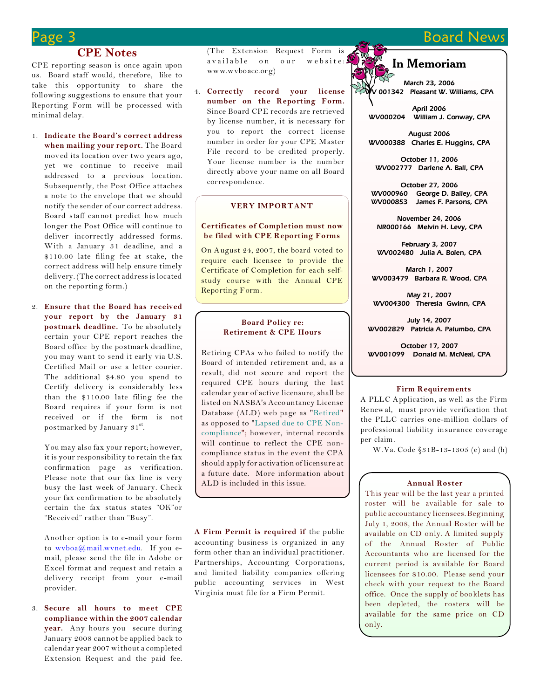# **Board News**

### **CPE Notes**

CPE reporting season is once again upon us. Board staff would, therefore, like to take this opportunity to share the following suggestions to ensure that your Reporting Form will be processed with minimal delay.

- 1. **Indicate the Board's correct address when mailing your report.** The Board moved its location over two years ago, yet we continue to receive mail addressed to a previous location. Subsequently, the Post Office attaches a note to the envelope that we should notify the sender of our correct address. Board staff cannot predict how much longer the Post Office will continue to deliver incorrectly addressed forms. With a January 31 deadline, and a \$110.00 late filing fee at stake, the correct address will help ensure timely delivery. (The correct address is located on the reporting form.)
- 2. **Ensure that the Board has received your report by the January 31 postmark deadline.** To be absolutely certain your CPE report reaches the Board office by the postmark deadline, you may want to send it early via U.S. Certified Mail or use a letter courier. The additional \$4.80 you spend to Certify delivery is considerably less than the \$110.00 late filing fee the Board requires if your form is not received or if the form is not postmarked by January 31st.

You may also fax your report; however, it is your responsibility to retain the fax confirmation page as verification. Please note that our fax line is very busy the last week of January. Check your fax confirmation to be absolutely certain the fax status states "OK"or "Received" rather than "Busy".

Another option is to e-mail your form to [wvboa@mail.wvnet.edu](mailto:wvboa@mail.wvnet.edu). If you email, please send the file in Adobe or Excel format and request and retain a delivery receipt from your e-mail provider.

3. **Secure all hours to meet CPE compliance within the 2007 calendar year.** Any hours you secure during January 2008 cannot be applied back to calendar year 2007 without a completed Extension Request and the paid fee.

(The Extension Request Form is available on our website: www.wvboacc.org)

4. **Correctly record your license number on the Reporting Form.** Since Board CPE records are retrieved by license number, it is necessary for you to report the correct license number in order for your CPE Master File record to be credited properly. Your license number is the number directly above your name on all Board correspondence.

### **VERY IMPORTANT**

### **Certificates of Completion must now be filed with CPE Reporting Forms**

On August 24, 2007, the board voted to require each licensee to provide the Certificate of Completion for each selfstudy course with the Annual CPE Reporting Form.

### **Board Policy re: Retirement & CPE Hours**

Retiring CPAs who failed to notify the Board of intended retirement and, as a result, did not secure and report the required CPE hours during the last calendar year of active licensure, shall be listed on NASBA's Accountancy License Database (ALD) web page as "Retired" as opposed to "Lapsed due to CPE Noncompliance"; however, internal records will continue to reflect the CPE noncompliance status in the event the CPA should apply for activation of licensure at a future date. More information about ALD is included in this issue. **Annual Roster**

**A Firm Permit is required if** the public accounting business is organized in any form other than an individual practitioner. Partnerships, Accounting Corporations, and limited liability companies offering public accounting services in West Virginia must file for a Firm Permit.

### **In Memoriam**

*March 23, 2006 WV 001342 Pleasant W. Williams, CPA*

*April 2006 WV000204 William J. Conway, CPA*

*August 2006 WV000388 Charles E. Huggins, CPA*

*October 11, 2006 WV002777 Darlene A. Ball, CPA*

*October 27, 2006 WV000960 George D. Bailey, CPA WV000853 James F. Parsons, CPA*

*November 24, 2006 NR000166 Melvin H. Levy, CPA*

*February 3, 2007 WV002480 Julia A. Bolen, CPA*

*March 1, 2007 WV003479 Barbara R. Wood, CPA*

*May 21, 2007 WV004300 Theresia Gwinn, CPA*

*July 14, 2007 WV002829 Patricia A. Palumbo, CPA*

*October 17, 2007 WV001099 Donald M. McNeal, CPA*

### **Firm Requirements**

A PLLC Application, as well as the Firm Renewal, must provide verification that the PLLC carries one-million dollars of professional liability insurance coverage per claim.

W.Va. Code §31B-13-1305 (e) and (h)

This year will be the last year a printed roster will be available for sale to public accountancy licensees. Beginning July 1, 2008, the Annual Roster will be available on CD only. A limited supply of the Annual Roster of Public Accountants who are licensed for the current period is available for Board licensees for \$10.00. Please send your check with your request to the Board office. Once the supply of booklets has been depleted, the rosters will be available for the same price on CD only.